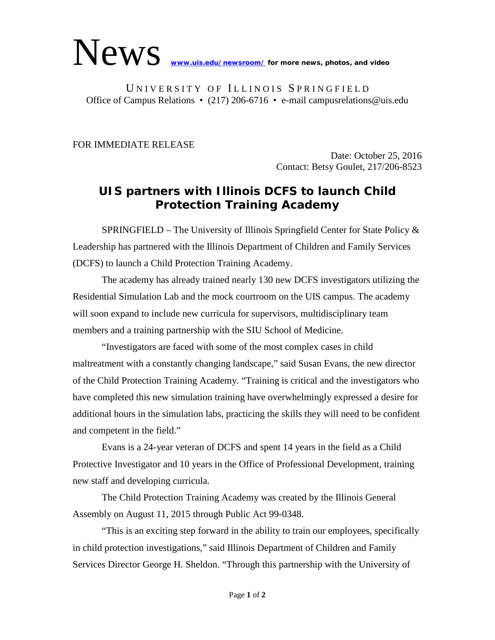

UNIVERSITY OF ILLINOIS SPRINGFIELD Office of Campus Relations • (217) 206-6716 • e-mail campusrelations@uis.edu

FOR IMMEDIATE RELEASE

Date: October 25, 2016 Contact: Betsy Goulet, 217/206-8523

## **UIS partners with Illinois DCFS to launch Child Protection Training Academy**

SPRINGFIELD – The University of Illinois Springfield Center for State Policy & Leadership has partnered with the Illinois Department of Children and Family Services (DCFS) to launch a Child Protection Training Academy.

The academy has already trained nearly 130 new DCFS investigators utilizing the Residential Simulation Lab and the mock courtroom on the UIS campus. The academy will soon expand to include new curricula for supervisors, multidisciplinary team members and a training partnership with the SIU School of Medicine.

"Investigators are faced with some of the most complex cases in child maltreatment with a constantly changing landscape," said Susan Evans, the new director of the Child Protection Training Academy. "Training is critical and the investigators who have completed this new simulation training have overwhelmingly expressed a desire for additional hours in the simulation labs, practicing the skills they will need to be confident and competent in the field."

Evans is a 24-year veteran of DCFS and spent 14 years in the field as a Child Protective Investigator and 10 years in the Office of Professional Development, training new staff and developing curricula.

The Child Protection Training Academy was created by the Illinois General Assembly on August 11, 2015 through Public Act 99-0348.

"This is an exciting step forward in the ability to train our employees, specifically in child protection investigations," said Illinois Department of Children and Family Services Director George H. Sheldon. "Through this partnership with the University of